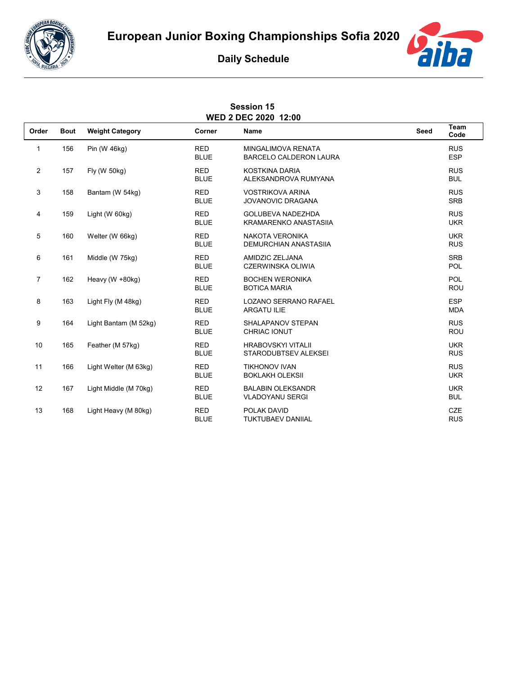



## **Daily Schedule**

| <b>Session 15</b><br><b>WED 2 DEC 2020 12:00</b> |             |                        |                           |                                                            |      |                          |  |  |  |
|--------------------------------------------------|-------------|------------------------|---------------------------|------------------------------------------------------------|------|--------------------------|--|--|--|
| Order                                            | <b>Bout</b> | <b>Weight Category</b> | Corner                    | <b>Name</b>                                                | Seed | Team<br>Code             |  |  |  |
| 1                                                | 156         | Pin (W 46kg)           | <b>RED</b><br><b>BLUE</b> | <b>MINGALIMOVA RENATA</b><br><b>BARCELO CALDERON LAURA</b> |      | <b>RUS</b><br><b>ESP</b> |  |  |  |
| 2                                                | 157         | Fly (W 50kg)           | <b>RED</b><br><b>BLUE</b> | KOSTKINA DARIA<br>ALEKSANDROVA RUMYANA                     |      | <b>RUS</b><br><b>BUL</b> |  |  |  |
| 3                                                | 158         | Bantam (W 54kg)        | <b>RED</b><br><b>BLUE</b> | <b>VOSTRIKOVA ARINA</b><br><b>JOVANOVIC DRAGANA</b>        |      | <b>RUS</b><br><b>SRB</b> |  |  |  |
| 4                                                | 159         | Light (W 60kg)         | <b>RED</b><br><b>BLUE</b> | <b>GOLUBEVA NADEZHDA</b><br><b>KRAMARENKO ANASTASIIA</b>   |      | <b>RUS</b><br><b>UKR</b> |  |  |  |
| 5                                                | 160         | Welter (W 66kg)        | <b>RED</b><br><b>BLUE</b> | NAKOTA VERONIKA<br><b>DEMURCHIAN ANASTASIIA</b>            |      | <b>UKR</b><br><b>RUS</b> |  |  |  |
| 6                                                | 161         | Middle (W 75kg)        | <b>RED</b><br><b>BLUE</b> | AMIDZIC ZELJANA<br><b>CZERWINSKA OLIWIA</b>                |      | <b>SRB</b><br>POL        |  |  |  |
| $\overline{7}$                                   | 162         | Heavy (W +80kg)        | <b>RED</b><br><b>BLUE</b> | <b>BOCHEN WERONIKA</b><br><b>BOTICA MARIA</b>              |      | POL<br>ROU               |  |  |  |
| 8                                                | 163         | Light Fly (M 48kg)     | <b>RED</b><br><b>BLUE</b> | <b>LOZANO SERRANO RAFAEL</b><br>ARGATU ILIE                |      | <b>ESP</b><br><b>MDA</b> |  |  |  |
| 9                                                | 164         | Light Bantam (M 52kg)  | <b>RED</b><br><b>BLUE</b> | SHALAPANOV STEPAN<br>CHRIAC IONUT                          |      | <b>RUS</b><br>ROU        |  |  |  |
| 10                                               | 165         | Feather (M 57kg)       | <b>RED</b><br><b>BLUE</b> | <b>HRABOVSKYI VITALII</b><br>STARODUBTSEV ALEKSEI          |      | <b>UKR</b><br><b>RUS</b> |  |  |  |
| 11                                               | 166         | Light Welter (M 63kg)  | <b>RED</b><br><b>BLUE</b> | <b>TIKHONOV IVAN</b><br><b>BOKLAKH OLEKSII</b>             |      | <b>RUS</b><br><b>UKR</b> |  |  |  |
| 12                                               | 167         | Light Middle (M 70kg)  | <b>RED</b><br><b>BLUE</b> | <b>BALABIN OLEKSANDR</b><br><b>VLADOYANU SERGI</b>         |      | <b>UKR</b><br><b>BUL</b> |  |  |  |
| 13                                               | 168         | Light Heavy (M 80kg)   | <b>RED</b><br><b>BLUE</b> | POLAK DAVID<br><b>TUKTUBAEV DANIIAL</b>                    |      | <b>CZE</b><br><b>RUS</b> |  |  |  |